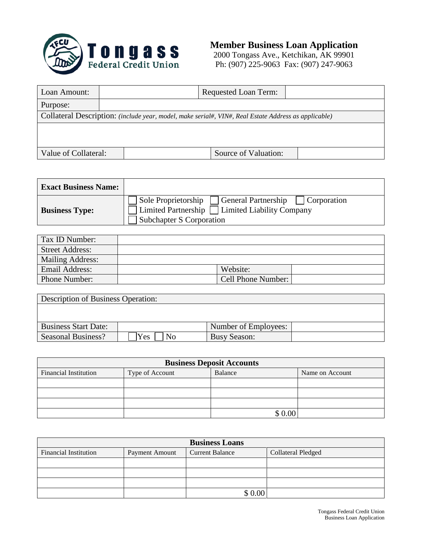

# **Member Business Loan Application**

2000 Tongass Ave., Ketchikan, AK 99901 Ph: (907) 225-9063 Fax: (907) 247-9063

|                                                                                                      | <b>Requested Loan Term:</b> |  |  |  |  |
|------------------------------------------------------------------------------------------------------|-----------------------------|--|--|--|--|
|                                                                                                      |                             |  |  |  |  |
| Collateral Description: (include year, model, make serial#, VIN#, Real Estate Address as applicable) |                             |  |  |  |  |
|                                                                                                      |                             |  |  |  |  |
|                                                                                                      |                             |  |  |  |  |
|                                                                                                      | Source of Valuation:        |  |  |  |  |
|                                                                                                      | Value of Collateral:        |  |  |  |  |

| <b>Exact Business Name:</b> |                                                                                                                                                |
|-----------------------------|------------------------------------------------------------------------------------------------------------------------------------------------|
| <b>Business Type:</b>       | Sole Proprietorship<br>General Partnership<br>$\vert$ Corporation<br>Limited Partnership Limited Liability Company<br>Subchapter S Corporation |

| Tax ID Number:         |                           |  |
|------------------------|---------------------------|--|
| <b>Street Address:</b> |                           |  |
| Mailing Address:       |                           |  |
| Email Address:         | Website:                  |  |
| Phone Number:          | <b>Cell Phone Number:</b> |  |

| <b>Description of Business Operation:</b> |           |                      |  |  |  |
|-------------------------------------------|-----------|----------------------|--|--|--|
|                                           |           |                      |  |  |  |
|                                           |           |                      |  |  |  |
| <b>Business Start Date:</b>               |           | Number of Employees: |  |  |  |
| <b>Seasonal Business?</b>                 | Yes<br>No | <b>Busy Season:</b>  |  |  |  |

| <b>Business Deposit Accounts</b> |                 |          |                 |  |  |
|----------------------------------|-----------------|----------|-----------------|--|--|
| <b>Financial Institution</b>     | Type of Account | Balance  | Name on Account |  |  |
|                                  |                 |          |                 |  |  |
|                                  |                 |          |                 |  |  |
|                                  |                 |          |                 |  |  |
|                                  |                 | $\$0.00$ |                 |  |  |

| <b>Business Loans</b>        |                |                        |                           |  |  |  |  |
|------------------------------|----------------|------------------------|---------------------------|--|--|--|--|
| <b>Financial Institution</b> | Payment Amount | <b>Current Balance</b> | <b>Collateral Pledged</b> |  |  |  |  |
|                              |                |                        |                           |  |  |  |  |
|                              |                |                        |                           |  |  |  |  |
|                              |                |                        |                           |  |  |  |  |
|                              |                | \$0.00                 |                           |  |  |  |  |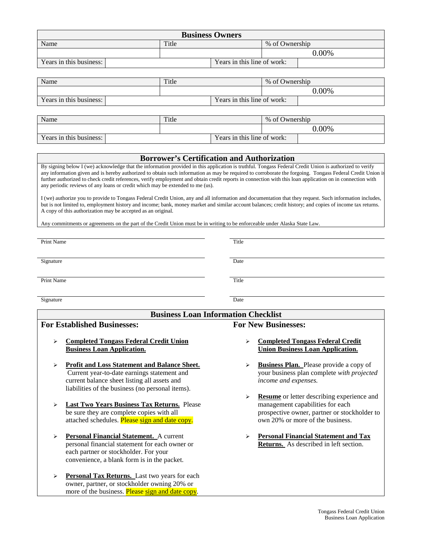| <b>Business Owners</b>  |  |       |  |                             |                |          |
|-------------------------|--|-------|--|-----------------------------|----------------|----------|
| Name                    |  | Title |  |                             | % of Ownership |          |
|                         |  |       |  |                             |                | $2.00\%$ |
| Years in this business: |  |       |  | Years in this line of work: |                |          |

| Name                    | Title |                             | % of Ownership |       |
|-------------------------|-------|-----------------------------|----------------|-------|
|                         |       |                             |                | 0.00% |
| Years in this business: |       | Years in this line of work: |                |       |

| Name                    | Title |                             | % of Ownership |          |
|-------------------------|-------|-----------------------------|----------------|----------|
|                         |       |                             |                | $0.00\%$ |
| Years in this business: |       | Years in this line of work: |                |          |

#### **Borrower's Certification and Authorization**

By signing below I (we) acknowledge that the information provided in this application is truthful. Tongass Federal Credit Union is authorized to verify any information given and is hereby authorized to obtain such information as may be required to corroborate the forgoing. Tongass Federal Credit Union is further authorized to check credit references, verify employment and obtain credit reports in connection with this loan application on in connection with any periodic reviews of any loans or credit which may be extended to me (us).

I (we) authorize you to provide to Tongass Federal Credit Union, any and all information and documentation that they request. Such information includes, but is not limited to, employment history and income; bank, money market and similar account balances; credit history; and copies of income tax returns. A copy of this authorization may be accepted as an original.

Any commitments or agreements on the part of the Credit Union must be in writing to be enforceable under Alaska State Law.

| Print Name | Title |
|------------|-------|
| Signature  | Date  |
| Print Name | Title |

```
Signature Date
```

| <b>Business Loan Information Checklist</b> |                                                                                                                                                                                                        |                                                                                                                                                                                                    |  |  |
|--------------------------------------------|--------------------------------------------------------------------------------------------------------------------------------------------------------------------------------------------------------|----------------------------------------------------------------------------------------------------------------------------------------------------------------------------------------------------|--|--|
|                                            | <b>For Established Businesses:</b>                                                                                                                                                                     | <b>For New Businesses:</b>                                                                                                                                                                         |  |  |
| ⋗                                          | <b>Completed Tongass Federal Credit Union</b><br><b>Business Loan Application.</b>                                                                                                                     | <b>Completed Tongass Federal Credit</b><br>⋗<br><b>Union Business Loan Application.</b>                                                                                                            |  |  |
| ⋗                                          | <b>Profit and Loss Statement and Balance Sheet.</b><br>Current year-to-date earnings statement and<br>current balance sheet listing all assets and<br>liabilities of the business (no personal items). | <b>Business Plan.</b> Please provide a copy of<br>your business plan complete with projected<br>income and expenses.                                                                               |  |  |
| ⋗                                          | Last Two Years Business Tax Returns. Please<br>be sure they are complete copies with all<br>attached schedules. Please sign and date copy.                                                             | <b>Resume</b> or letter describing experience and<br>$\blacktriangleright$<br>management capabilities for each<br>prospective owner, partner or stockholder to<br>own 20% or more of the business. |  |  |
| ⋗                                          | <b>Personal Financial Statement.</b> A current<br>personal financial statement for each owner or<br>each partner or stockholder. For your<br>convenience, a blank form is in the packet.               | <b>Personal Financial Statement and Tax</b><br>Returns. As described in left section.                                                                                                              |  |  |
| ➤                                          | Personal Tax Returns. Last two years for each<br>owner, partner, or stockholder owning 20% or                                                                                                          |                                                                                                                                                                                                    |  |  |

more of the business. Please sign and date copy.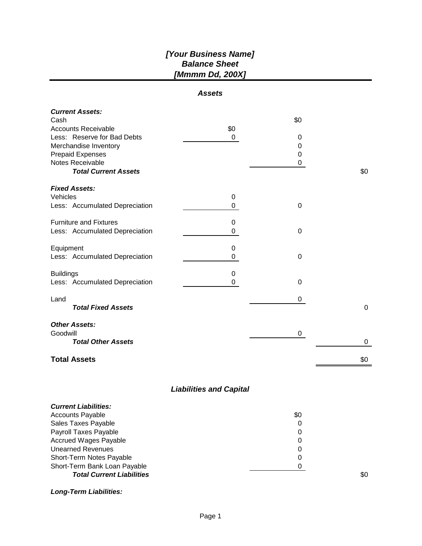## *[Your Business Name] Balance Sheet [Mmmm Dd, 200X]*

#### *Assets*

| <b>Current Assets:</b>         |     |             |             |
|--------------------------------|-----|-------------|-------------|
| Cash                           |     | \$0         |             |
| <b>Accounts Receivable</b>     | \$0 |             |             |
| Less: Reserve for Bad Debts    | 0   | 0           |             |
| Merchandise Inventory          |     | 0           |             |
| Prepaid Expenses               |     | 0           |             |
| Notes Receivable               |     | 0           |             |
| <b>Total Current Assets</b>    |     |             | \$0         |
| <b>Fixed Assets:</b>           |     |             |             |
| Vehicles                       | 0   |             |             |
| Less: Accumulated Depreciation | 0   | $\mathbf 0$ |             |
| <b>Furniture and Fixtures</b>  | 0   |             |             |
| Less: Accumulated Depreciation | 0   | 0           |             |
| Equipment                      | 0   |             |             |
| Less: Accumulated Depreciation | 0   | 0           |             |
| <b>Buildings</b>               | 0   |             |             |
| Less: Accumulated Depreciation | 0   | 0           |             |
| Land                           |     | 0           |             |
| <b>Total Fixed Assets</b>      |     |             | $\mathbf 0$ |
| <b>Other Assets:</b>           |     |             |             |
| Goodwill                       |     | 0           |             |
| <b>Total Other Assets</b>      |     |             | 0           |
| <b>Total Assets</b>            |     |             | \$0         |

## *Liabilities and Capital*

| <b>Current Liabilities:</b>      |     |     |
|----------------------------------|-----|-----|
| <b>Accounts Payable</b>          | \$0 |     |
| Sales Taxes Payable              | 0   |     |
| Payroll Taxes Payable            | 0   |     |
| <b>Accrued Wages Payable</b>     | 0   |     |
| <b>Unearned Revenues</b>         | 0   |     |
| Short-Term Notes Payable         | 0   |     |
| Short-Term Bank Loan Payable     |     |     |
| <b>Total Current Liabilities</b> |     | \$0 |

#### *Long-Term Liabilities:*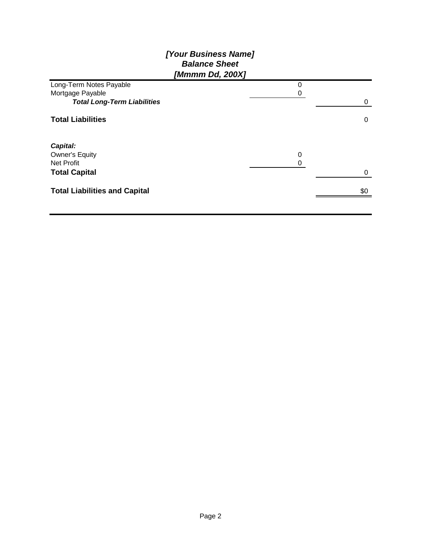## *[Your Business Name] Balance Sheet [Mmmm Dd, 200X]*

|                                      | --, ----- |     |
|--------------------------------------|-----------|-----|
| Long-Term Notes Payable              | 0         |     |
| Mortgage Payable                     |           |     |
| <b>Total Long-Term Liabilities</b>   |           | 0   |
| <b>Total Liabilities</b>             |           | 0   |
| Capital:                             |           |     |
| <b>Owner's Equity</b>                | 0         |     |
| <b>Net Profit</b>                    |           |     |
| <b>Total Capital</b>                 |           | 0   |
| <b>Total Liabilities and Capital</b> |           | \$0 |
|                                      |           |     |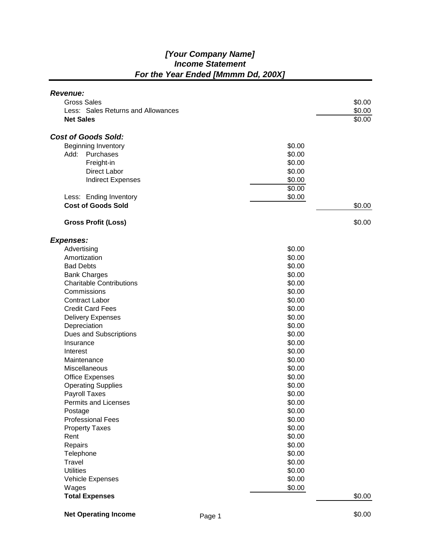## *[Your Company Name] Income Statement For the Year Ended [Mmmm Dd, 200X]*

| <b>Revenue:</b>                    |        |        |
|------------------------------------|--------|--------|
| <b>Gross Sales</b>                 |        | \$0.00 |
| Less: Sales Returns and Allowances |        | \$0.00 |
| <b>Net Sales</b>                   |        | \$0.00 |
| <b>Cost of Goods Sold:</b>         |        |        |
| <b>Beginning Inventory</b>         | \$0.00 |        |
| Add: Purchases                     | \$0.00 |        |
| Freight-in                         | \$0.00 |        |
| <b>Direct Labor</b>                | \$0.00 |        |
| <b>Indirect Expenses</b>           | \$0.00 |        |
|                                    | \$0.00 |        |
| Less: Ending Inventory             | \$0.00 |        |
| <b>Cost of Goods Sold</b>          |        | \$0.00 |
| <b>Gross Profit (Loss)</b>         |        | \$0.00 |
| <b>Expenses:</b>                   |        |        |
| Advertising                        | \$0.00 |        |
| Amortization                       | \$0.00 |        |
| <b>Bad Debts</b>                   | \$0.00 |        |
| <b>Bank Charges</b>                | \$0.00 |        |
| <b>Charitable Contributions</b>    | \$0.00 |        |
| Commissions                        | \$0.00 |        |
| <b>Contract Labor</b>              | \$0.00 |        |
| <b>Credit Card Fees</b>            | \$0.00 |        |
| <b>Delivery Expenses</b>           | \$0.00 |        |
| Depreciation                       | \$0.00 |        |
| Dues and Subscriptions             | \$0.00 |        |
| Insurance                          | \$0.00 |        |
| Interest                           | \$0.00 |        |
| Maintenance                        | \$0.00 |        |
| Miscellaneous                      | \$0.00 |        |
| <b>Office Expenses</b>             | \$0.00 |        |
| <b>Operating Supplies</b>          | \$0.00 |        |
| <b>Payroll Taxes</b>               | \$0.00 |        |
| Permits and Licenses               | \$0.00 |        |
| Postage                            | \$0.00 |        |
| <b>Professional Fees</b>           | \$0.00 |        |
| <b>Property Taxes</b>              | \$0.00 |        |
| Rent                               | \$0.00 |        |
| Repairs                            | \$0.00 |        |
| Telephone                          | \$0.00 |        |
| Travel                             | \$0.00 |        |
| <b>Utilities</b>                   | \$0.00 |        |
| Vehicle Expenses                   | \$0.00 |        |
| Wages                              | \$0.00 |        |
| <b>Total Expenses</b>              |        | \$0.00 |

**Net Operating Income Page 1 CONS Page 1 CONS \$0.00**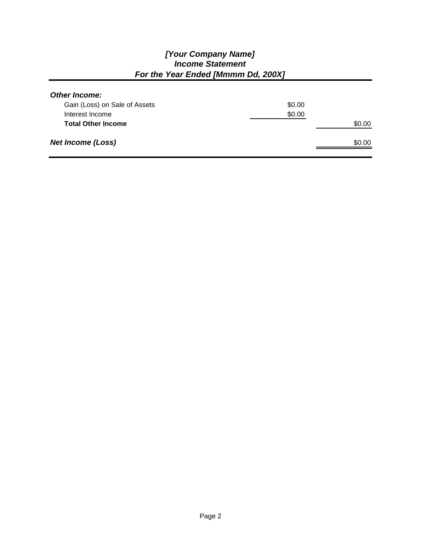## *[Your Company Name] Income Statement For the Year Ended [Mmmm Dd, 200X]*

| \$0.00 |        |
|--------|--------|
| \$0.00 |        |
|        | \$0.00 |
|        | \$0.00 |
|        |        |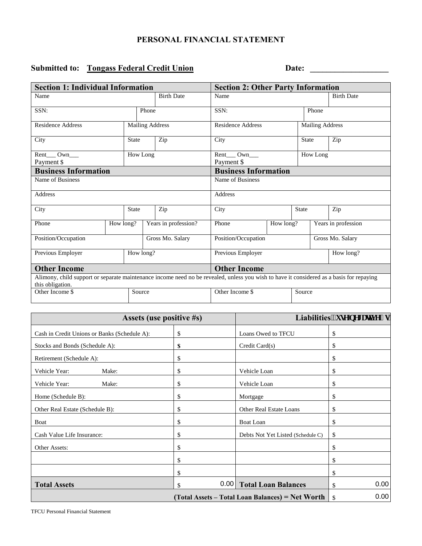## **PERSONAL FINANCIAL STATEMENT**

# Submitted to: Tongass Federal Credit Union Date: Date:

| <b>Section 1: Individual Information</b>                                                                                                                     |              | <b>Section 2: Other Party Information</b> |                      |                                                    |                             |              |                     |           |  |
|--------------------------------------------------------------------------------------------------------------------------------------------------------------|--------------|-------------------------------------------|----------------------|----------------------------------------------------|-----------------------------|--------------|---------------------|-----------|--|
| Name                                                                                                                                                         |              |                                           | <b>Birth Date</b>    | <b>Birth Date</b><br>Name                          |                             |              |                     |           |  |
| SSN:                                                                                                                                                         |              | Phone                                     |                      | SSN:                                               | Phone                       |              |                     |           |  |
| <b>Residence Address</b>                                                                                                                                     |              | <b>Mailing Address</b>                    |                      | <b>Residence Address</b><br><b>Mailing Address</b> |                             |              |                     |           |  |
| City                                                                                                                                                         | <b>State</b> |                                           | Zip                  | City                                               |                             | <b>State</b> |                     | Zip       |  |
| Rent Own<br>Payment \$                                                                                                                                       |              | How Long                                  |                      | Rent Own<br>How Long<br>Payment \$                 |                             |              |                     |           |  |
| <b>Business Information</b>                                                                                                                                  |              |                                           |                      |                                                    | <b>Business Information</b> |              |                     |           |  |
| Name of Business                                                                                                                                             |              |                                           |                      | Name of Business                                   |                             |              |                     |           |  |
| <b>Address</b>                                                                                                                                               |              |                                           |                      | <b>Address</b>                                     |                             |              |                     |           |  |
| City                                                                                                                                                         | State        |                                           | Zip                  | City                                               |                             | <b>State</b> |                     | Zip       |  |
| Phone                                                                                                                                                        | How long?    |                                           | Years in profession? | Phone                                              | How long?                   |              | Years in profession |           |  |
| Position/Occupation                                                                                                                                          |              |                                           | Gross Mo. Salary     | Position/Occupation                                |                             |              | Gross Mo. Salary    |           |  |
| Previous Employer                                                                                                                                            |              | How long?                                 |                      | Previous Employer                                  |                             |              |                     | How long? |  |
| <b>Other Income</b>                                                                                                                                          |              |                                           |                      | <b>Other Income</b>                                |                             |              |                     |           |  |
| Alimony, child support or separate maintenance income need no be revealed, unless you wish to have it considered as a basis for repaying<br>this obligation. |              |                                           |                      |                                                    |                             |              |                     |           |  |
| Other Income \$                                                                                                                                              |              | Source                                    |                      | Other Income \$<br>Source                          |                             |              |                     |           |  |

| Assets (use positive #s)                     |            |                                   | Liabilities'*wg'pgi cvxg'%+ |
|----------------------------------------------|------------|-----------------------------------|-----------------------------|
| Cash in Credit Unions or Banks (Schedule A): | \$         | Loans Owed to TFCU                | \$                          |
| Stocks and Bonds (Schedule A):               | \$         | Credit Card(s)                    | \$                          |
| Retirement (Schedule A):                     | \$         |                                   | \$                          |
| Vehicle Year:<br>Make:                       | \$         | Vehicle Loan                      | \$                          |
| Vehicle Year:<br>Make:                       | \$         | Vehicle Loan                      | \$                          |
| Home (Schedule B):                           | \$         | Mortgage                          | \$                          |
| Other Real Estate (Schedule B):              | \$         | Other Real Estate Loans           | \$                          |
| Boat                                         | \$         | Boat Loan                         | \$                          |
| Cash Value Life Insurance:                   | \$         | Debts Not Yet Listed (Schedule C) | \$                          |
| Other Assets:                                | \$         |                                   | \$                          |
|                                              | \$         |                                   | \$                          |
|                                              | \$         |                                   | \$                          |
| <b>Total Assets</b>                          | 0.00<br>\$ | <b>Total Loan Balances</b>        | 0.00<br>\$                  |
|                                              | 0.00<br>\$ |                                   |                             |